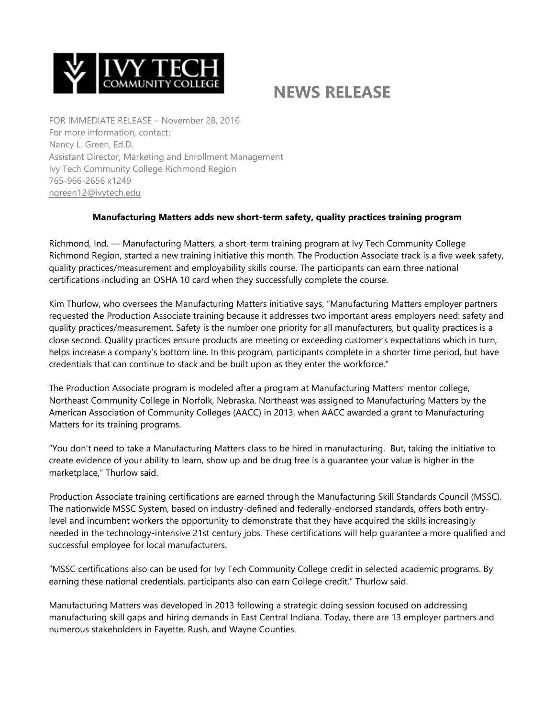

## **NEWS RELEASE**

FOR IMMEDIATE RELEASE – November 28, 2016 For more information, contact: Nancy L. Green, Ed.D. Assistant Director, Marketing and Enrollment Management Ivy Tech Community College Richmond Region 765-966-2656 x1249 [ngreen12@ivytech.edu](mailto:ngreen12@ivytech.edu)

## **Manufacturing Matters adds new short-term safety, quality practices training program**

Richmond, Ind. — Manufacturing Matters, a short-term training program at Ivy Tech Community College Richmond Region, started a new training initiative this month. The Production Associate track is a five week safety, quality practices/measurement and employability skills course. The participants can earn three national certifications including an OSHA 10 card when they successfully complete the course.

Kim Thurlow, who oversees the Manufacturing Matters initiative says, "Manufacturing Matters employer partners requested the Production Associate training because it addresses two important areas employers need: safety and quality practices/measurement. Safety is the number one priority for all manufacturers, but quality practices is a close second. Quality practices ensure products are meeting or exceeding customer's expectations which in turn, helps increase a company's bottom line. In this program, participants complete in a shorter time period, but have credentials that can continue to stack and be built upon as they enter the workforce."

The Production Associate program is modeled after a program at Manufacturing Matters' mentor college, Northeast Community College in Norfolk, Nebraska. Northeast was assigned to Manufacturing Matters by the American Association of Community Colleges (AACC) in 2013, when AACC awarded a grant to Manufacturing Matters for its training programs.

"You don't need to take a Manufacturing Matters class to be hired in manufacturing. But, taking the initiative to create evidence of your ability to learn, show up and be drug free is a guarantee your value is higher in the marketplace," Thurlow said.

Production Associate training certifications are earned through the Manufacturing Skill Standards Council (MSSC). The nationwide MSSC System, based on industry-defined and federally-endorsed standards, offers both entrylevel and incumbent workers the opportunity to demonstrate that they have acquired the skills increasingly needed in the technology-intensive 21st century jobs. These certifications will help guarantee a more qualified and successful employee for local manufacturers.

"MSSC certifications also can be used for Ivy Tech Community College credit in selected academic programs. By earning these national credentials, participants also can earn College credit." Thurlow said.

Manufacturing Matters was developed in 2013 following a strategic doing session focused on addressing manufacturing skill gaps and hiring demands in East Central Indiana. Today, there are 13 employer partners and numerous stakeholders in Fayette, Rush, and Wayne Counties.